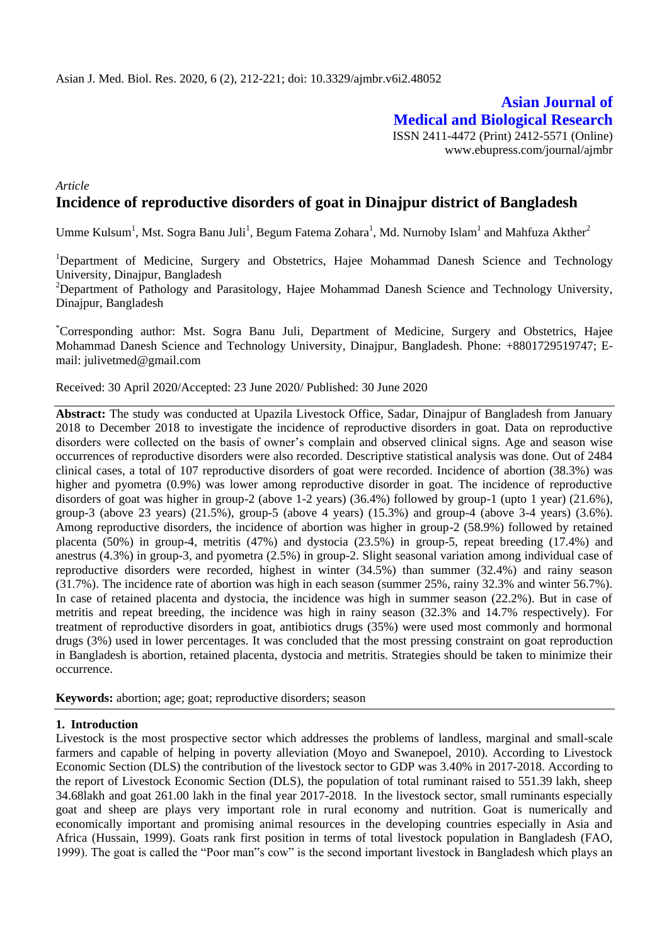# **Asian Journal of Medical and Biological Research** ISSN 2411-4472 (Print) 2412-5571 (Online)

www.ebupress.com/journal/ajmbr

# *Article* **Incidence of reproductive disorders of goat in Dinajpur district of Bangladesh**

Umme Kulsum<sup>1</sup>, Mst. Sogra Banu Juli<sup>1</sup>, Begum Fatema Zohara<sup>1</sup>, Md. Nurnoby Islam<sup>1</sup> and Mahfuza Akther<sup>2</sup>

<sup>1</sup>Department of Medicine, Surgery and Obstetrics, Hajee Mohammad Danesh Science and Technology University, Dinajpur, Bangladesh

<sup>2</sup>Department of Pathology and Parasitology, Hajee Mohammad Danesh Science and Technology University, Dinajpur, Bangladesh

\*Corresponding author: Mst. Sogra Banu Juli, Department of Medicine, Surgery and Obstetrics, Hajee Mohammad Danesh Science and Technology University, Dinajpur, Bangladesh. Phone: +8801729519747; Email: julivetmed@gmail.com

Received: 30 April 2020/Accepted: 23 June 2020/ Published: 30 June 2020

**Abstract:** The study was conducted at Upazila Livestock Office, Sadar, Dinajpur of Bangladesh from January 2018 to December 2018 to investigate the incidence of reproductive disorders in goat. Data on reproductive disorders were collected on the basis of owner's complain and observed clinical signs. Age and season wise occurrences of reproductive disorders were also recorded. Descriptive statistical analysis was done. Out of 2484 clinical cases, a total of 107 reproductive disorders of goat were recorded. Incidence of abortion (38.3%) was higher and pyometra (0.9%) was lower among reproductive disorder in goat. The incidence of reproductive disorders of goat was higher in group-2 (above 1-2 years) (36.4%) followed by group-1 (upto 1 year) (21.6%), group-3 (above 23 years) (21.5%), group-5 (above 4 years) (15.3%) and group-4 (above 3-4 years) (3.6%). Among reproductive disorders, the incidence of abortion was higher in group-2 (58.9%) followed by retained placenta (50%) in group-4, metritis (47%) and dystocia (23.5%) in group-5, repeat breeding (17.4%) and anestrus (4.3%) in group-3, and pyometra (2.5%) in group-2. Slight seasonal variation among individual case of reproductive disorders were recorded, highest in winter (34.5%) than summer (32.4%) and rainy season (31.7%). The incidence rate of abortion was high in each season (summer 25%, rainy 32.3% and winter 56.7%). In case of retained placenta and dystocia, the incidence was high in summer season (22.2%). But in case of metritis and repeat breeding, the incidence was high in rainy season (32.3% and 14.7% respectively). For treatment of reproductive disorders in goat, antibiotics drugs (35%) were used most commonly and hormonal drugs (3%) used in lower percentages. It was concluded that the most pressing constraint on goat reproduction in Bangladesh is abortion, retained placenta, dystocia and metritis. Strategies should be taken to minimize their occurrence.

**Keywords:** abortion; age; goat; reproductive disorders; season

#### **1. Introduction**

Livestock is the most prospective sector which addresses the problems of landless, marginal and small-scale farmers and capable of helping in poverty alleviation (Moyo and Swanepoel, 2010). According to Livestock Economic Section (DLS) the contribution of the livestock sector to GDP was 3.40% in 2017-2018. According to the report of Livestock Economic Section (DLS), the population of total ruminant raised to 551.39 lakh, sheep 34.68lakh and goat 261.00 lakh in the final year 2017-2018. In the livestock sector, small ruminants especially goat and sheep are plays very important role in rural economy and nutrition. Goat is numerically and economically important and promising animal resources in the developing countries especially in Asia and Africa (Hussain, 1999). Goats rank first position in terms of total livestock population in Bangladesh (FAO, 1999). The goat is called the "Poor man"s cow" is the second important livestock in Bangladesh which plays an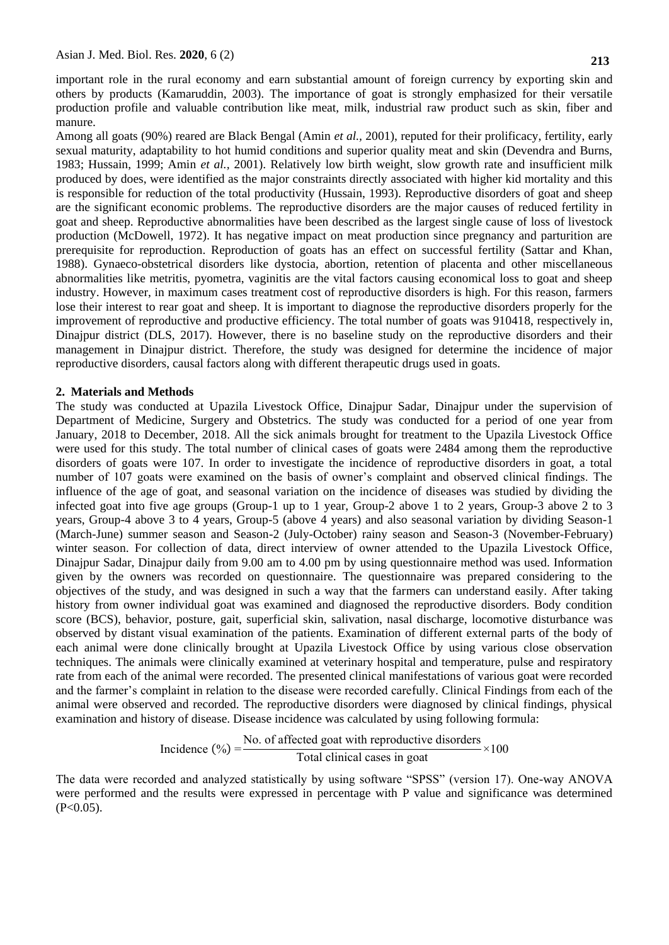important role in the rural economy and earn substantial amount of foreign currency by exporting skin and others by products (Kamaruddin, 2003). The importance of goat is strongly emphasized for their versatile production profile and valuable contribution like meat, milk, industrial raw product such as skin, fiber and manure.

Among all goats (90%) reared are Black Bengal (Amin *et al.,* 2001), reputed for their prolificacy, fertility, early sexual maturity, adaptability to hot humid conditions and superior quality meat and skin (Devendra and Burns, 1983; Hussain, 1999; Amin *et al.,* 2001). Relatively low birth weight, slow growth rate and insufficient milk produced by does, were identified as the major constraints directly associated with higher kid mortality and this is responsible for reduction of the total productivity (Hussain, 1993). Reproductive disorders of goat and sheep are the significant economic problems. The reproductive disorders are the major causes of reduced fertility in goat and sheep. Reproductive abnormalities have been described as the largest single cause of loss of livestock production (McDowell, 1972). It has negative impact on meat production since pregnancy and parturition are prerequisite for reproduction. Reproduction of goats has an effect on successful fertility (Sattar and Khan, 1988). Gynaeco-obstetrical disorders like dystocia, abortion, retention of placenta and other miscellaneous abnormalities like metritis, pyometra, vaginitis are the vital factors causing economical loss to goat and sheep industry. However, in maximum cases treatment cost of reproductive disorders is high. For this reason, farmers lose their interest to rear goat and sheep. It is important to diagnose the reproductive disorders properly for the improvement of reproductive and productive efficiency. The total number of goats was 910418, respectively in, Dinajpur district (DLS, 2017). However, there is no baseline study on the reproductive disorders and their management in Dinajpur district. Therefore, the study was designed for determine the incidence of major reproductive disorders, causal factors along with different therapeutic drugs used in goats.

### **2. Materials and Methods**

The study was conducted at Upazila Livestock Office, Dinajpur Sadar, Dinajpur under the supervision of Department of Medicine, Surgery and Obstetrics. The study was conducted for a period of one year from January, 2018 to December, 2018. All the sick animals brought for treatment to the Upazila Livestock Office were used for this study. The total number of clinical cases of goats were 2484 among them the reproductive disorders of goats were 107. In order to investigate the incidence of reproductive disorders in goat, a total number of 107 goats were examined on the basis of owner's complaint and observed clinical findings. The influence of the age of goat, and seasonal variation on the incidence of diseases was studied by dividing the infected goat into five age groups (Group-1 up to 1 year, Group-2 above 1 to 2 years, Group-3 above 2 to 3 years, Group-4 above 3 to 4 years, Group-5 (above 4 years) and also seasonal variation by dividing Season-1 (March-June) summer season and Season-2 (July-October) rainy season and Season-3 (November-February) winter season. For collection of data, direct interview of owner attended to the Upazila Livestock Office, Dinajpur Sadar, Dinajpur daily from 9.00 am to 4.00 pm by using questionnaire method was used. Information given by the owners was recorded on questionnaire. The questionnaire was prepared considering to the objectives of the study, and was designed in such a way that the farmers can understand easily. After taking history from owner individual goat was examined and diagnosed the reproductive disorders. Body condition score (BCS), behavior, posture, gait, superficial skin, salivation, nasal discharge, locomotive disturbance was observed by distant visual examination of the patients. Examination of different external parts of the body of each animal were done clinically brought at Upazila Livestock Office by using various close observation techniques. The animals were clinically examined at veterinary hospital and temperature, pulse and respiratory rate from each of the animal were recorded. The presented clinical manifestations of various goat were recorded and the farmer's complaint in relation to the disease were recorded carefully. Clinical Findings from each of the animal were observed and recorded. The reproductive disorders were diagnosed by clinical findings, physical examination and history of disease. Disease incidence was calculated by using following formula:

Incidence (
$$
\degree
$$
) =  $\frac{\text{No. of affected goat with reproductive disorders}}{\text{Total clinical cases in goat}} \times 100$ 

The data were recorded and analyzed statistically by using software "SPSS" (version 17). One-way ANOVA were performed and the results were expressed in percentage with P value and significance was determined  $(P<0.05)$ .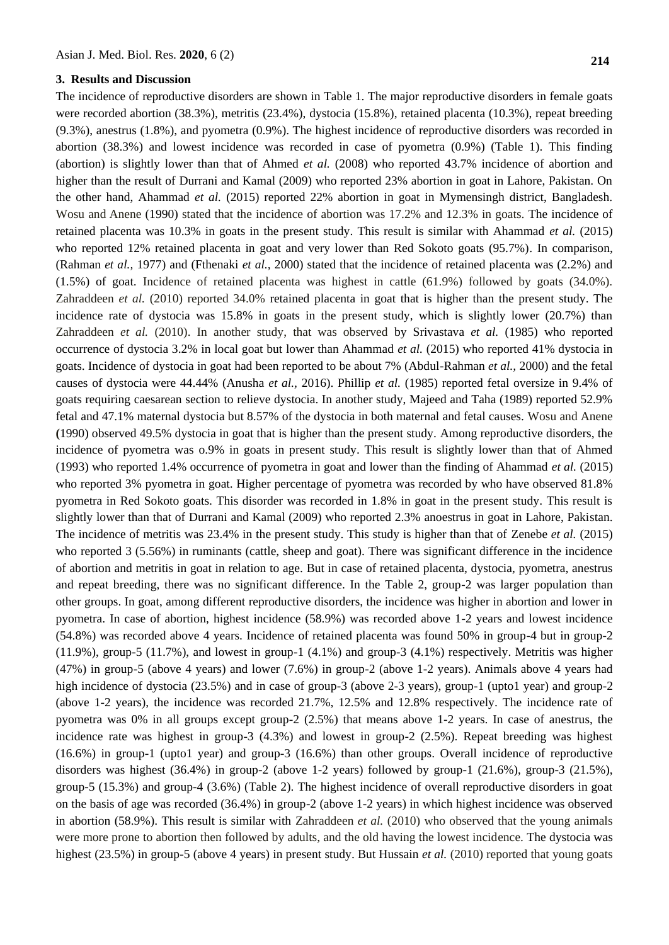### **3. Results and Discussion**

The incidence of reproductive disorders are shown in Table 1. The major reproductive disorders in female goats were recorded abortion (38.3%), metritis (23.4%), dystocia (15.8%), retained placenta (10.3%), repeat breeding (9.3%), anestrus (1.8%), and pyometra (0.9%). The highest incidence of reproductive disorders was recorded in abortion (38.3%) and lowest incidence was recorded in case of pyometra (0.9%) (Table 1). This finding (abortion) is slightly lower than that of Ahmed *et al.* (2008) who reported 43.7% incidence of abortion and higher than the result of Durrani and Kamal (2009) who reported 23% abortion in goat in Lahore, Pakistan. On the other hand, Ahammad *et al.* (2015) reported 22% abortion in goat in Mymensingh district, Bangladesh. [Wosu a](https://www.ncbi.nlm.nih.gov/pubmed/?term=Wosu%20LO%5BAuthor%5D&cauthor=true&cauthor_uid=2360896)nd [Anene](https://www.ncbi.nlm.nih.gov/pubmed/?term=Anene%20BM%5BAuthor%5D&cauthor=true&cauthor_uid=2360896) (1990) stated that the incidence of abortion was 17.2% and 12.3% in goats. The incidence of retained placenta was 10.3% in goats in the present study. This result is similar with Ahammad *et al.* (2015) who reported 12% retained placenta in goat and very lower than Red Sokoto goats (95.7%). In comparison, (Rahman *et al.,* 1977) and (Fthenaki *et al.,* 2000) stated that the incidence of retained placenta was (2.2%) and (1.5%) of goat. Incidence of retained placenta was highest in cattle (61.9%) followed by goats (34.0%). Zahraddeen *et al.* (2010) reported 34.0% retained placenta in goat that is higher than the present study. The incidence rate of dystocia was 15.8% in goats in the present study, which is slightly lower (20.7%) than Zahraddeen *et al.* (2010). In another study, that was observed by Srivastava *et al.* (1985) who reported occurrence of dystocia 3.2% in local goat but lower than Ahammad *et al.* (2015) who reported 41% dystocia in goats. Incidence of dystocia in goat had been reported to be about 7% (Abdul-Rahman *et al.,* 2000) and the fetal causes of dystocia were 44.44% (Anusha *et al.,* 2016). Phillip *et al.* (1985) reported fetal oversize in 9.4% of goats requiring caesarean section to relieve dystocia. In another study, Majeed and Taha (1989) reported 52.9% fetal and 47.1% maternal dystocia but 8.57% of the dystocia in both maternal and fetal causes. [Wosu a](https://www.ncbi.nlm.nih.gov/pubmed/?term=Wosu%20LO%5BAuthor%5D&cauthor=true&cauthor_uid=2360896)nd [Anene](https://www.ncbi.nlm.nih.gov/pubmed/?term=Anene%20BM%5BAuthor%5D&cauthor=true&cauthor_uid=2360896) **(**1990) observed 49.5% dystocia in goat that is higher than the present study. Among reproductive disorders, the incidence of pyometra was o.9% in goats in present study. This result is slightly lower than that of Ahmed (1993) who reported 1.4% occurrence of pyometra in goat and lower than the finding of Ahammad *et al.* (2015) who reported 3% pyometra in goat. Higher percentage of pyometra was recorded by who have observed 81.8% pyometra in Red Sokoto goats. This disorder was recorded in 1.8% in goat in the present study. This result is slightly lower than that of Durrani and Kamal (2009) who reported 2.3% anoestrus in goat in Lahore, Pakistan. The incidence of metritis was 23.4% in the present study. This study is higher than that of Zenebe *et al.* (2015) who reported 3 (5.56%) in ruminants (cattle, sheep and goat). There was significant difference in the incidence of abortion and metritis in goat in relation to age. But in case of retained placenta, dystocia, pyometra, anestrus and repeat breeding, there was no significant difference. In the Table 2, group-2 was larger population than other groups. In goat, among different reproductive disorders, the incidence was higher in abortion and lower in pyometra. In case of abortion, highest incidence (58.9%) was recorded above 1-2 years and lowest incidence (54.8%) was recorded above 4 years. Incidence of retained placenta was found 50% in group-4 but in group-2  $(11.9\%)$ , group-5  $(11.7\%)$ , and lowest in group-1  $(4.1\%)$  and group-3  $(4.1\%)$  respectively. Metritis was higher (47%) in group-5 (above 4 years) and lower (7.6%) in group-2 (above 1-2 years). Animals above 4 years had high incidence of dystocia (23.5%) and in case of group-3 (above 2-3 years), group-1 (upto1 year) and group-2 (above 1-2 years), the incidence was recorded 21.7%, 12.5% and 12.8% respectively. The incidence rate of pyometra was 0% in all groups except group-2 (2.5%) that means above 1-2 years. In case of anestrus, the incidence rate was highest in group-3 (4.3%) and lowest in group-2 (2.5%). Repeat breeding was highest (16.6%) in group-1 (upto1 year) and group-3 (16.6%) than other groups. Overall incidence of reproductive disorders was highest (36.4%) in group-2 (above 1-2 years) followed by group-1 (21.6%), group-3 (21.5%), group-5 (15.3%) and group-4 (3.6%) (Table 2). The highest incidence of overall reproductive disorders in goat on the basis of age was recorded (36.4%) in group-2 (above 1-2 years) in which highest incidence was observed in abortion (58.9%). This result is similar with Zahraddeen *et al.* (2010) who observed that the young animals were more prone to abortion then followed by adults, and the old having the lowest incidence. The dystocia was highest (23.5%) in group-5 (above 4 years) in present study. But Hussain *et al.* (2010) reported that young goats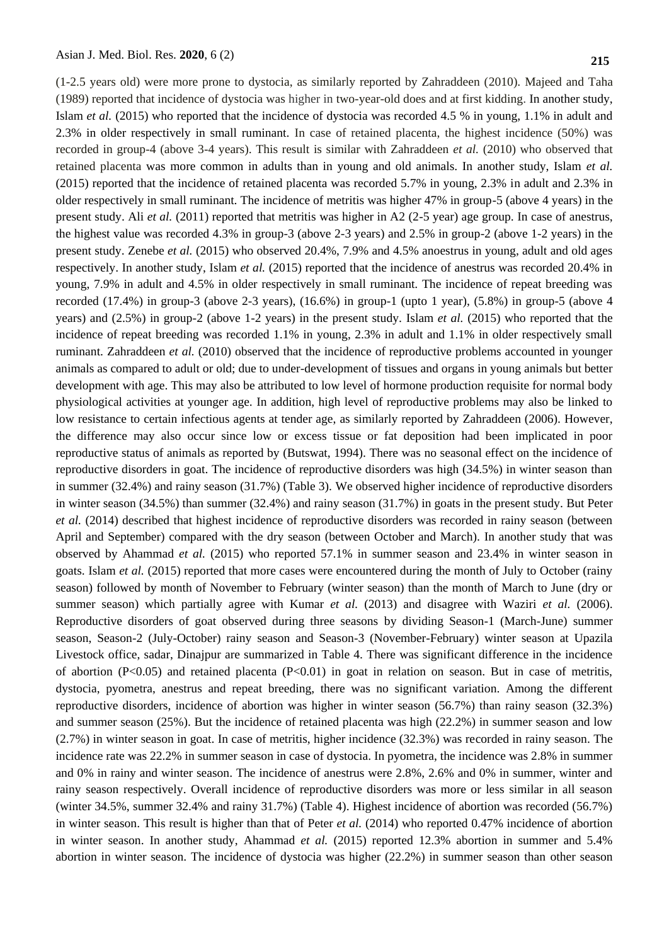(1-2.5 years old) were more prone to dystocia, as similarly reported by Zahraddeen (2010). [Majeed](javascript:void(0);) and [Taha](javascript:void(0);) (1989) reported that incidence of dystocia was higher in two-year-old does and at first kidding. In another study, Islam *et al.* (2015) who reported that the incidence of dystocia was recorded 4.5 % in young, 1.1% in adult and 2.3% in older respectively in small ruminant. In case of retained placenta, the highest incidence (50%) was recorded in group-4 (above 3-4 years). This result is similar with Zahraddeen *et al.* (2010) who observed that retained placenta was more common in adults than in young and old animals. In another study, Islam *et al.*  (2015) reported that the incidence of retained placenta was recorded 5.7% in young, 2.3% in adult and 2.3% in older respectively in small ruminant. The incidence of metritis was higher 47% in group-5 (above 4 years) in the present study. Ali *et al.* (2011) reported that metritis was higher in A2 (2-5 year) age group. In case of anestrus, the highest value was recorded 4.3% in group-3 (above 2-3 years) and 2.5% in group-2 (above 1-2 years) in the present study. Zenebe *et al.* (2015) who observed 20.4%, 7.9% and 4.5% anoestrus in young, adult and old ages respectively. In another study, Islam *et al.* (2015) reported that the incidence of anestrus was recorded 20.4% in young, 7.9% in adult and 4.5% in older respectively in small ruminant. The incidence of repeat breeding was recorded (17.4%) in group-3 (above 2-3 years), (16.6%) in group-1 (upto 1 year), (5.8%) in group-5 (above 4 years) and (2.5%) in group-2 (above 1-2 years) in the present study. Islam *et al.* (2015) who reported that the incidence of repeat breeding was recorded 1.1% in young, 2.3% in adult and 1.1% in older respectively small ruminant. Zahraddeen *et al.* (2010) observed that the incidence of reproductive problems accounted in younger animals as compared to adult or old; due to under-development of tissues and organs in young animals but better development with age. This may also be attributed to low level of hormone production requisite for normal body physiological activities at younger age. In addition, high level of reproductive problems may also be linked to low resistance to certain infectious agents at tender age, as similarly reported by Zahraddeen (2006). However, the difference may also occur since low or excess tissue or fat deposition had been implicated in poor reproductive status of animals as reported by (Butswat, 1994). There was no seasonal effect on the incidence of reproductive disorders in goat. The incidence of reproductive disorders was high (34.5%) in winter season than in summer (32.4%) and rainy season (31.7%) (Table 3). We observed higher incidence of reproductive disorders in winter season (34.5%) than summer (32.4%) and rainy season (31.7%) in goats in the present study. But Peter *et al.* (2014) described that highest incidence of reproductive disorders was recorded in rainy season (between April and September) compared with the dry season (between October and March). In another study that was observed by Ahammad *et al.* (2015) who reported 57.1% in summer season and 23.4% in winter season in goats. Islam *et al.* (2015) reported that more cases were encountered during the month of July to October (rainy season) followed by month of November to February (winter season) than the month of March to June (dry or summer season) which partially agree with Kumar *et al.* (2013) and disagree with Waziri *et al.* (2006). Reproductive disorders of goat observed during three seasons by dividing Season-1 (March-June) summer season, Season-2 (July-October) rainy season and Season-3 (November-February) winter season at Upazila Livestock office, sadar, Dinajpur are summarized in Table 4. There was significant difference in the incidence of abortion (P<0.05) and retained placenta (P<0.01) in goat in relation on season. But in case of metritis, dystocia, pyometra, anestrus and repeat breeding, there was no significant variation. Among the different reproductive disorders, incidence of abortion was higher in winter season (56.7%) than rainy season (32.3%) and summer season (25%). But the incidence of retained placenta was high (22.2%) in summer season and low (2.7%) in winter season in goat. In case of metritis, higher incidence (32.3%) was recorded in rainy season. The incidence rate was 22.2% in summer season in case of dystocia. In pyometra, the incidence was 2.8% in summer and 0% in rainy and winter season. The incidence of anestrus were 2.8%, 2.6% and 0% in summer, winter and rainy season respectively. Overall incidence of reproductive disorders was more or less similar in all season (winter 34.5%, summer 32.4% and rainy 31.7%) (Table 4). Highest incidence of abortion was recorded (56.7%) in winter season. This result is higher than that of Peter *et al.* (2014) who reported 0.47% incidence of abortion in winter season. In another study, Ahammad *et al.* (2015) reported 12.3% abortion in summer and 5.4% abortion in winter season. The incidence of dystocia was higher (22.2%) in summer season than other season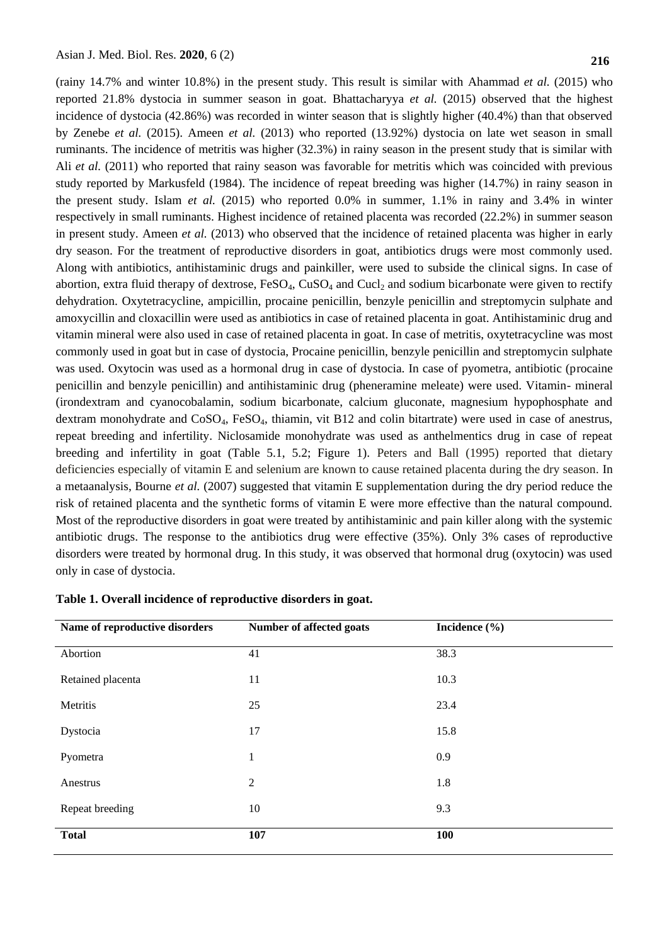(rainy 14.7% and winter 10.8%) in the present study. This result is similar with Ahammad *et al.* (2015) who reported 21.8% dystocia in summer season in goat. Bhattacharyya *et al.* (2015) observed that the highest incidence of dystocia (42.86%) was recorded in winter season that is slightly higher (40.4%) than that observed by Zenebe *et al.* (2015). Ameen *et al.* (2013) who reported (13.92%) dystocia on late wet season in small ruminants. The incidence of metritis was higher (32.3%) in rainy season in the present study that is similar with Ali *et al.* (2011) who reported that rainy season was favorable for metritis which was coincided with previous study reported by Markusfeld (1984). The incidence of repeat breeding was higher (14.7%) in rainy season in the present study. Islam *et al.* (2015) who reported 0.0% in summer, 1.1% in rainy and 3.4% in winter respectively in small ruminants. Highest incidence of retained placenta was recorded (22.2%) in summer season in present study. Ameen *et al.* (2013) who observed that the incidence of retained placenta was higher in early dry season. For the treatment of reproductive disorders in goat, antibiotics drugs were most commonly used. Along with antibiotics, antihistaminic drugs and painkiller, were used to subside the clinical signs. In case of abortion, extra fluid therapy of dextrose,  $FeSO_4$ ,  $CuSO_4$  and  $Cucl<sub>2</sub>$  and sodium bicarbonate were given to rectify dehydration. Oxytetracycline, ampicillin, procaine penicillin, benzyle penicillin and streptomycin sulphate and amoxycillin and cloxacillin were used as antibiotics in case of retained placenta in goat. Antihistaminic drug and vitamin mineral were also used in case of retained placenta in goat. In case of metritis, oxytetracycline was most commonly used in goat but in case of dystocia, Procaine penicillin, benzyle penicillin and streptomycin sulphate was used. Oxytocin was used as a hormonal drug in case of dystocia. In case of pyometra, antibiotic (procaine penicillin and benzyle penicillin) and antihistaminic drug (pheneramine meleate) were used. Vitamin- mineral (irondextram and cyanocobalamin, sodium bicarbonate, calcium gluconate, magnesium hypophosphate and dextram monohydrate and CoSO4, FeSO4, thiamin, vit B12 and colin bitartrate) were used in case of anestrus, repeat breeding and infertility. Niclosamide monohydrate was used as anthelmentics drug in case of repeat breeding and infertility in goat (Table 5.1, 5.2; Figure 1). Peters and Ball (1995) reported that dietary deficiencies especially of vitamin E and selenium are known to cause retained placenta during the dry season. In a metaanalysis, Bourne *et al.* (2007) suggested that vitamin E supplementation during the dry period reduce the risk of retained placenta and the synthetic forms of vitamin E were more effective than the natural compound. Most of the reproductive disorders in goat were treated by antihistaminic and pain killer along with the systemic antibiotic drugs. The response to the antibiotics drug were effective (35%). Only 3% cases of reproductive disorders were treated by hormonal drug. In this study, it was observed that hormonal drug (oxytocin) was used only in case of dystocia.

| Name of reproductive disorders | Number of affected goats | Incidence $(\% )$ |
|--------------------------------|--------------------------|-------------------|
| Abortion                       | 41                       | 38.3              |
| Retained placenta              | 11                       | 10.3              |
| Metritis                       | 25                       | 23.4              |
| Dystocia                       | 17                       | 15.8              |
| Pyometra                       | $\mathbf{1}$             | 0.9               |
| Anestrus                       | $\overline{2}$           | 1.8               |
| Repeat breeding                | 10                       | 9.3               |
| <b>Total</b>                   | 107                      | 100               |

### **Table 1. Overall incidence of reproductive disorders in goat.**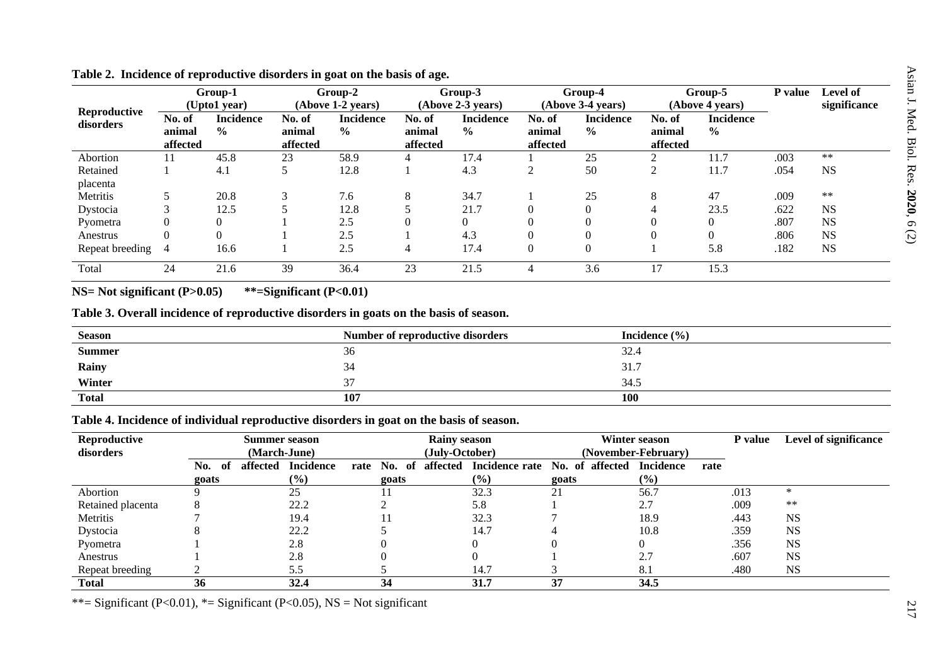|                           |                              | Group-1<br>(Upto1 year)           |                              | Group-2<br>(Above 1-2 years)       |                              | Group-3<br>(Above 2-3 years)      |                              | Group-4<br>(Above 3-4 years)      |                              | Group-5<br>(Above 4 years)        | P value | Level of<br>significance |
|---------------------------|------------------------------|-----------------------------------|------------------------------|------------------------------------|------------------------------|-----------------------------------|------------------------------|-----------------------------------|------------------------------|-----------------------------------|---------|--------------------------|
| Reproductive<br>disorders | No. of<br>animal<br>affected | <b>Incidence</b><br>$\frac{0}{0}$ | No. of<br>animal<br>affected | <b>Incidence</b><br>$\frac{6}{10}$ | No. of<br>animal<br>affected | <b>Incidence</b><br>$\frac{0}{0}$ | No. of<br>animal<br>affected | <b>Incidence</b><br>$\frac{0}{0}$ | No. of<br>animal<br>affected | <b>Incidence</b><br>$\frac{0}{0}$ |         |                          |
| Abortion                  | 11                           | 45.8                              | 23                           | 58.9                               |                              | 17.4                              |                              | 25                                |                              | 11.7                              | .003    | $\ast\ast$               |
| Retained                  |                              | 4.1                               |                              | 12.8                               |                              | 4.3                               | $\overline{c}$               | 50                                | $\overline{2}$               | 11.7                              | .054    | <b>NS</b>                |
| placenta                  |                              |                                   |                              |                                    |                              |                                   |                              |                                   |                              |                                   |         |                          |
| Metritis                  |                              | 20.8                              | $\mathbf 3$                  | 7.6                                | 8                            | 34.7                              |                              | 25                                | 8                            | 47                                | .009    | $**$                     |
| Dystocia                  | 3                            | 12.5                              |                              | 12.8                               |                              | 21.7                              | $\overline{0}$               | 0                                 |                              | 23.5                              | .622    | <b>NS</b>                |
| Pyometra                  | $\overline{0}$               | $\Omega$                          |                              | 2.5                                |                              | $\mathbf{0}$                      | $\overline{0}$               |                                   |                              |                                   | .807    | <b>NS</b>                |
| Anestrus                  | $\mathbf{0}$                 | $\theta$                          |                              | 2.5                                |                              | 4.3                               | $\theta$                     | 0                                 |                              |                                   | .806    | <b>NS</b>                |
| Repeat breeding           | -4                           | 16.6                              |                              | 2.5                                | 4                            | 17.4                              | $\mathbf{0}$                 | $\theta$                          |                              | 5.8                               | .182    | <b>NS</b>                |
| Total                     | 24                           | 21.6                              | 39                           | 36.4                               | 23                           | 21.5                              | 4                            | 3.6                               | 17                           | 15.3                              |         |                          |

## **Table 2. Incidence of reproductive disorders in goat on the basis of age.**

**NS= Not significant (P>0.05) \*\*=Significant (P<0.01)**

# **Table 3. Overall incidence of reproductive disorders in goats on the basis of season.**

| <b>Season</b> | Number of reproductive disorders | Incidence $(\% )$ |
|---------------|----------------------------------|-------------------|
| <b>Summer</b> | 36                               | 32.4              |
| Rainy         | 34                               | 31'<br>JI.        |
| Winter        | $\sim$                           | 34.5              |
| <b>Total</b>  | 107                              | 100               |

# **Table 4. Incidence of individual reproductive disorders in goat on the basis of season.**

| Reproductive      | Summer season           |                  |                | <b>Rainy season</b>        |                 | Winter season       |      | P value | <b>Level of significance</b> |
|-------------------|-------------------------|------------------|----------------|----------------------------|-----------------|---------------------|------|---------|------------------------------|
| disorders         |                         | (March-June)     |                | (July-October)             |                 | (November-February) |      |         |                              |
|                   | affected<br>- of<br>No. | <b>Incidence</b> | No. of<br>rate | affected<br>Incidence rate | No. of affected | <b>Incidence</b>    | rate |         |                              |
|                   | goats                   | $(\%)$           | goats          | $(\%)$                     | goats           | (%)                 |      |         |                              |
| Abortion          |                         | 25               |                | 32.3                       | 21              | 56.7                |      | .013    | ∗                            |
| Retained placenta |                         | 22.2             |                | 5.8                        |                 | 2.7                 |      | .009    | $**$                         |
| Metritis          |                         | 19.4             |                | 32.3                       |                 | 18.9                |      | .443    | <b>NS</b>                    |
| Dystocia          |                         | 22.2             |                | 14.7                       |                 | 10.8                |      | .359    | <b>NS</b>                    |
| Pyometra          |                         | 2.8              |                |                            |                 |                     |      | .356    | <b>NS</b>                    |
| Anestrus          |                         | 2.8              |                |                            |                 | 2.7                 |      | .607    | <b>NS</b>                    |
| Repeat breeding   |                         | 5.5              |                | 14.7                       |                 | 8.1                 |      | .480    | <b>NS</b>                    |
| <b>Total</b>      | 36                      | 32.4             | 34             | 31.7                       | 37              | 34.5                |      |         |                              |

\*\*= Significant (P<0.01), \*= Significant (P<0.05), NS = Not significant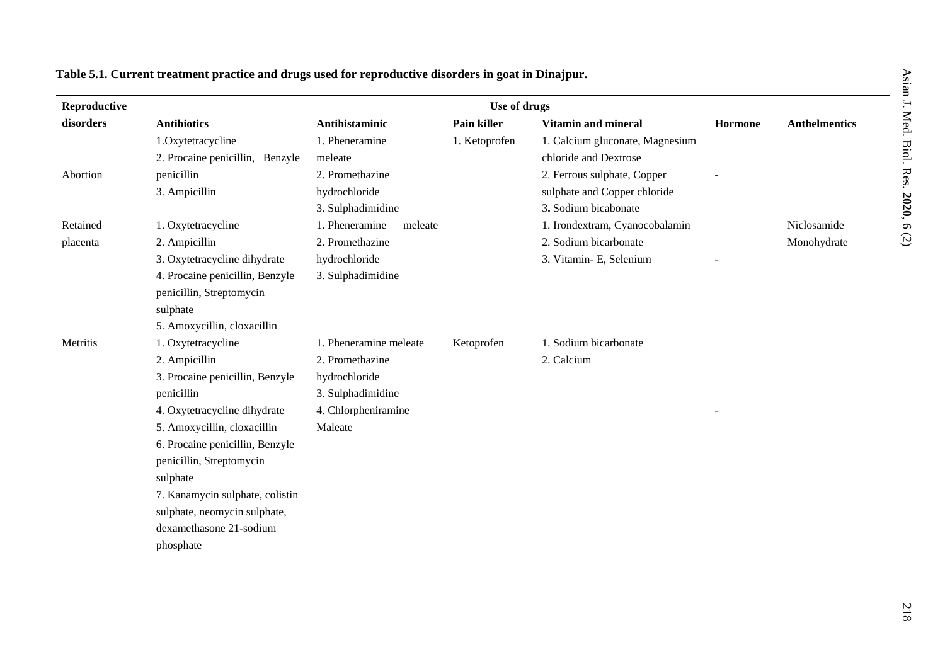| ueisy<br>i<br>. |
|-----------------|
| ť               |
| J. Med.         |
| Biol. Res.      |
|                 |
| こ・イライフ・コント<br>ž |
|                 |
|                 |

# **Table 5.1. Current treatment practice and drugs used for reproductive disorders in goat in Dinajpur.**

| Reproductive | Use of drugs                    |                           |               |                                 |         |                      |  |  |  |
|--------------|---------------------------------|---------------------------|---------------|---------------------------------|---------|----------------------|--|--|--|
| disorders    | <b>Antibiotics</b>              | <b>Antihistaminic</b>     | Pain killer   | <b>Vitamin and mineral</b>      | Hormone | <b>Anthelmentics</b> |  |  |  |
|              | 1.Oxytetracycline               | 1. Pheneramine            | 1. Ketoprofen | 1. Calcium gluconate, Magnesium |         |                      |  |  |  |
|              | 2. Procaine penicillin, Benzyle | meleate                   |               | chloride and Dextrose           |         |                      |  |  |  |
| Abortion     | penicillin                      | 2. Promethazine           |               | 2. Ferrous sulphate, Copper     |         |                      |  |  |  |
|              | 3. Ampicillin                   | hydrochloride             |               | sulphate and Copper chloride    |         |                      |  |  |  |
|              |                                 | 3. Sulphadimidine         |               | 3. Sodium bicabonate            |         |                      |  |  |  |
| Retained     | 1. Oxytetracycline              | 1. Pheneramine<br>meleate |               | 1. Irondextram, Cyanocobalamin  |         | Niclosamide          |  |  |  |
| placenta     | 2. Ampicillin                   | 2. Promethazine           |               | 2. Sodium bicarbonate           |         | Monohydrate          |  |  |  |
|              | 3. Oxytetracycline dihydrate    | hydrochloride             |               | 3. Vitamin- E, Selenium         |         |                      |  |  |  |
|              | 4. Procaine penicillin, Benzyle | 3. Sulphadimidine         |               |                                 |         |                      |  |  |  |
|              | penicillin, Streptomycin        |                           |               |                                 |         |                      |  |  |  |
|              | sulphate                        |                           |               |                                 |         |                      |  |  |  |
|              | 5. Amoxycillin, cloxacillin     |                           |               |                                 |         |                      |  |  |  |
| Metritis     | 1. Oxytetracycline              | 1. Pheneramine meleate    | Ketoprofen    | 1. Sodium bicarbonate           |         |                      |  |  |  |
|              | 2. Ampicillin                   | 2. Promethazine           |               | 2. Calcium                      |         |                      |  |  |  |
|              | 3. Procaine penicillin, Benzyle | hydrochloride             |               |                                 |         |                      |  |  |  |
|              | penicillin                      | 3. Sulphadimidine         |               |                                 |         |                      |  |  |  |
|              | 4. Oxytetracycline dihydrate    | 4. Chlorpheniramine       |               |                                 |         |                      |  |  |  |
|              | 5. Amoxycillin, cloxacillin     | Maleate                   |               |                                 |         |                      |  |  |  |
|              | 6. Procaine penicillin, Benzyle |                           |               |                                 |         |                      |  |  |  |
|              | penicillin, Streptomycin        |                           |               |                                 |         |                      |  |  |  |
|              | sulphate                        |                           |               |                                 |         |                      |  |  |  |
|              | 7. Kanamycin sulphate, colistin |                           |               |                                 |         |                      |  |  |  |
|              | sulphate, neomycin sulphate,    |                           |               |                                 |         |                      |  |  |  |
|              | dexamethasone 21-sodium         |                           |               |                                 |         |                      |  |  |  |
|              | phosphate                       |                           |               |                                 |         |                      |  |  |  |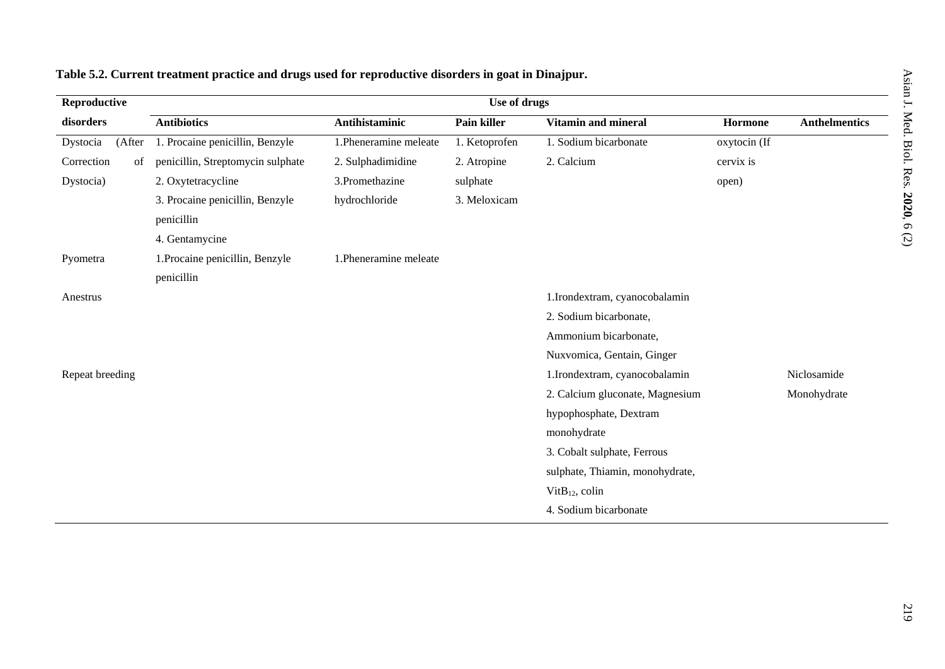Asian J. Med. Biol. Res.

**2020** $\mathfrak{g}$ (2)

| Reproductive       |                                   |                        |               |                                 |              |                      |
|--------------------|-----------------------------------|------------------------|---------------|---------------------------------|--------------|----------------------|
| disorders          | <b>Antibiotics</b>                | Antihistaminic         | Pain killer   | Vitamin and mineral             | Hormone      | <b>Anthelmentics</b> |
| Dystocia<br>(After | 1. Procaine penicillin, Benzyle   | 1. Pheneramine meleate | 1. Ketoprofen | 1. Sodium bicarbonate           | oxytocin (If |                      |
| Correction<br>of   | penicillin, Streptomycin sulphate | 2. Sulphadimidine      | 2. Atropine   | 2. Calcium                      | cervix is    |                      |
| Dystocia)          | 2. Oxytetracycline                | 3.Promethazine         | sulphate      |                                 | open)        |                      |
|                    | 3. Procaine penicillin, Benzyle   | hydrochloride          | 3. Meloxicam  |                                 |              |                      |
|                    | penicillin                        |                        |               |                                 |              |                      |
|                    | 4. Gentamycine                    |                        |               |                                 |              |                      |
| Pyometra           | 1. Procaine penicillin, Benzyle   | 1. Pheneramine meleate |               |                                 |              |                      |
|                    | penicillin                        |                        |               |                                 |              |                      |
| Anestrus           |                                   |                        |               | 1.Irondextram, cyanocobalamin   |              |                      |
|                    |                                   |                        |               | 2. Sodium bicarbonate,          |              |                      |
|                    |                                   |                        |               | Ammonium bicarbonate,           |              |                      |
|                    |                                   |                        |               | Nuxvomica, Gentain, Ginger      |              |                      |
| Repeat breeding    |                                   |                        |               | 1.Irondextram, cyanocobalamin   |              | Niclosamide          |
|                    |                                   |                        |               | 2. Calcium gluconate, Magnesium |              | Monohydrate          |
|                    |                                   |                        |               | hypophosphate, Dextram          |              |                      |
|                    |                                   |                        |               | monohydrate                     |              |                      |
|                    |                                   |                        |               | 3. Cobalt sulphate, Ferrous     |              |                      |

sulphate, Thiamin, monohydrate,

Vit $B_{12}$ , colin

4. Sodium bicarbonate

# **Table 5.2. Current treatment practice and drugs used for reproductive disorders in goat in Dinajpur.**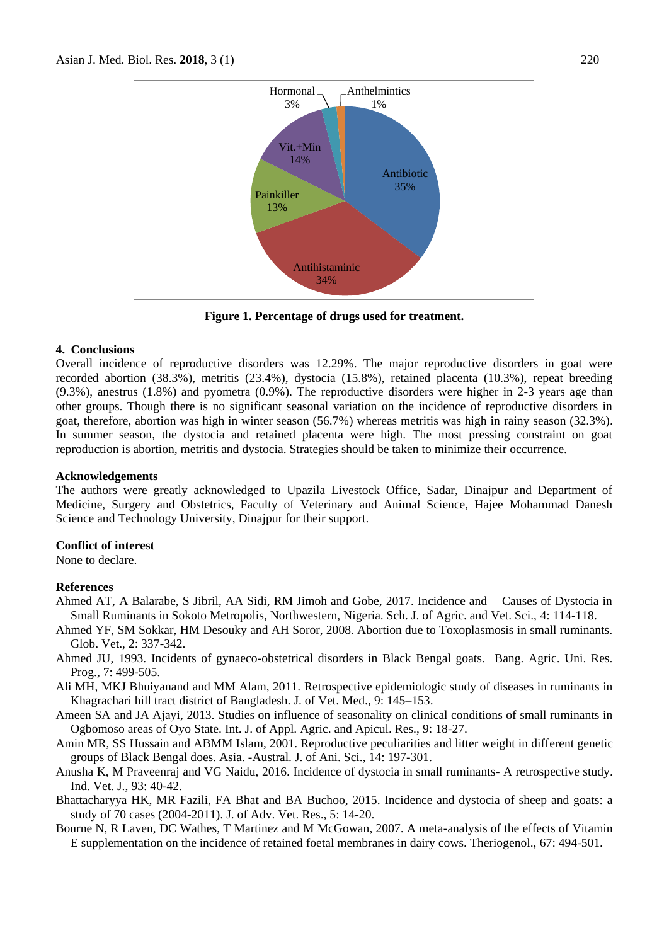

**Figure 1. Percentage of drugs used for treatment.**

#### **4. Conclusions**

Overall incidence of reproductive disorders was 12.29%. The major reproductive disorders in goat were recorded abortion (38.3%), metritis (23.4%), dystocia (15.8%), retained placenta (10.3%), repeat breeding (9.3%), anestrus (1.8%) and pyometra (0.9%). The reproductive disorders were higher in 2-3 years age than other groups. Though there is no significant seasonal variation on the incidence of reproductive disorders in goat, therefore, abortion was high in winter season (56.7%) whereas metritis was high in rainy season (32.3%). In summer season, the dystocia and retained placenta were high. The most pressing constraint on goat reproduction is abortion, metritis and dystocia. Strategies should be taken to minimize their occurrence.

#### **Acknowledgements**

The authors were greatly acknowledged to Upazila Livestock Office, Sadar, Dinajpur and Department of Medicine, Surgery and Obstetrics, Faculty of Veterinary and Animal Science, Hajee Mohammad Danesh Science and Technology University, Dinajpur for their support.

### **Conflict of interest**

None to declare.

### **References**

- Ahmed AT, A Balarabe, S Jibril, AA Sidi, RM Jimoh and Gobe, 2017. Incidence and Causes of Dystocia in Small Ruminants in Sokoto Metropolis, Northwestern, Nigeria. Sch. J. of Agric. and Vet. Sci., 4: 114-118.
- Ahmed YF, SM Sokkar, HM Desouky and AH Soror, 2008. Abortion due to Toxoplasmosis in small ruminants. Glob. Vet., 2: 337-342.
- Ahmed JU, 1993. Incidents of gynaeco-obstetrical disorders in Black Bengal goats. Bang. Agric. Uni. Res. Prog., 7: 499-505.
- Ali MH, MKJ Bhuiyanand and MM Alam, 2011. Retrospective epidemiologic study of diseases in ruminants in Khagrachari hill tract district of Bangladesh. J. of Vet. Med., 9: 145–153.
- Ameen SA and JA Ajayi, 2013. Studies on influence of seasonality on clinical conditions of small ruminants in Ogbomoso areas of Oyo State. Int. J. of Appl. Agric. and Apicul. Res., 9: 18-27.
- Amin MR, SS Hussain and ABMM Islam, 2001. Reproductive peculiarities and litter weight in different genetic groups of Black Bengal does. Asia. -Austral. J. of Ani. Sci., 14: 197-301.
- Anusha K, M Praveenraj and VG Naidu, 2016. Incidence of dystocia in small ruminants- A retrospective study. Ind. Vet. J., 93: 40-42.
- Bhattacharyya HK, MR Fazili, FA Bhat and BA Buchoo, 2015. Incidence and dystocia of sheep and goats: a study of 70 cases (2004-2011). J. of Adv. Vet. Res., 5: 14-20.
- Bourne N, R Laven, DC Wathes, T Martinez and M McGowan, 2007. A meta-analysis of the effects of Vitamin E supplementation on the incidence of retained foetal membranes in dairy cows. Theriogenol., 67: 494-501.